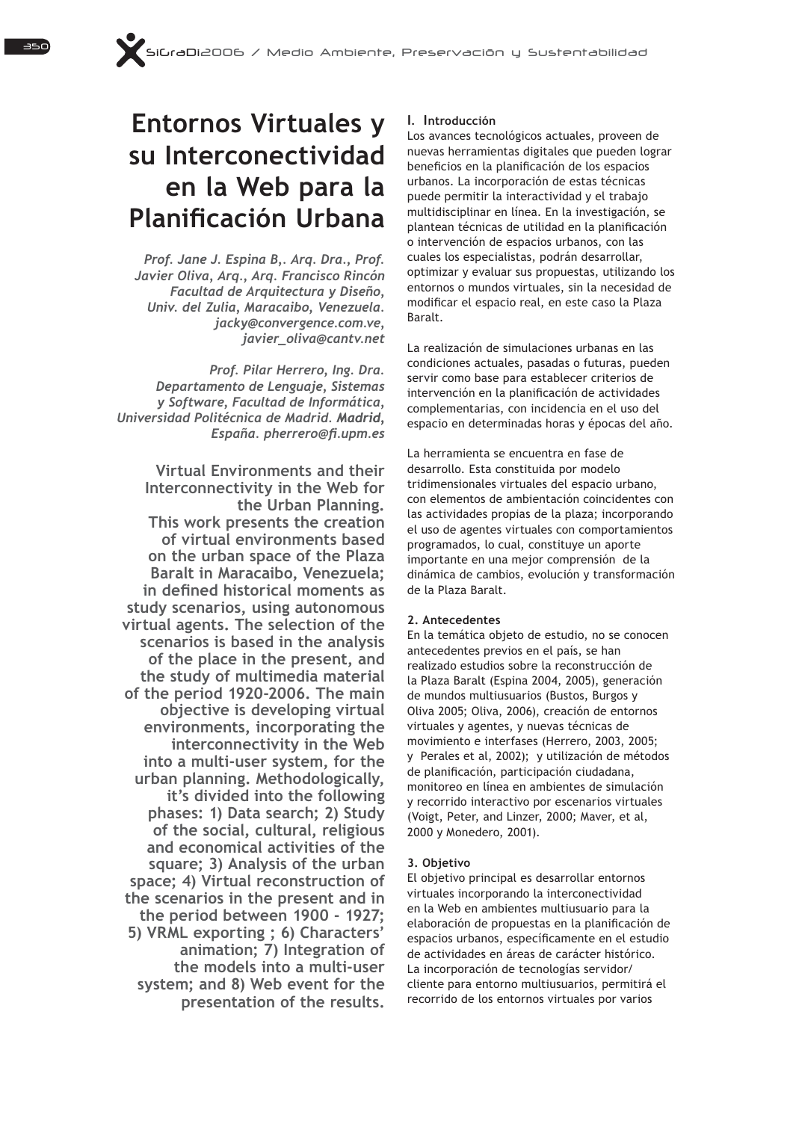# **Entornos Virtuales y su Interconectividad**  en la Web para la **Planificación Urbana**

Prof. Jane J. Espina B,. Arg. Dra., Prof. Javier Oliva, Arg., Arg. Francisco Rincón **Facultad de Arquitectura y Diseño,** Univ. del Zulia, Maracaibo, Venezuela. *jacky@convergence.com.ve, javier\_oliva@cantv.net*

*Prof. Pilar Herrero, Ing. Dra.* Departamento de Lenguaje, Sistemas *\6RIWZDUH)DFXOWDGGH,QIRUPiWLFD Universidad Politécnica de Madrid. Madrid, Madrid,*  España. pherrero@fi.upm.es

**Virtual Environments and their**  Interconnectivity in the Web for **the Urban Planning. This work presents the creation of virtual environments based on the urban space of the Plaza Baralt in Maracaibo, Venezuela; Laginary** in defined historical moments as **study scenarios, using autonomous virtual agents. The selection of the scenarios is based in the analysis of the place in the present, and the study of multimedia material of the period 1920-2006. The main objective is developing virtual environments, incorporating the LOWERFIGHT** in the Web **into a multi-user system, for the urban planning. Methodologically, it's divided into the following phases: 1) Data search; 2) Study of the social, cultural, religious and economical activities of the square; 3) Analysis of the urban space; 4) Virtual reconstruction of the scenarios in the present and in the period between 1900 - 1927;**  5) VRML exporting; 6) Characters' **animation; 7) Integration of the models into a multi-user**  system: and 8) Web event for the **presentation of the results.**

## **1.** Introducción

Los avances tecnológicos actuales, proveen de nuevas herramientas digitales que pueden lograr beneficios en la planificación de los espacios urbanos. La incorporación de estas técnicas puede permitir la interactividad y el trabajo multidisciplinar en línea. En la investigación, se plantean técnicas de utilidad en la planificación o intervención de espacios urbanos, con las cuales los especialistas, podrán desarrollar, optimizar y evaluar sus propuestas, utilizando los entornos o mundos virtuales, sin la necesidad de modificar el espacio real, en este caso la Plaza Baralt.

La realización de simulaciones urbanas en las condiciones actuales, pasadas o futuras, pueden servir como base para establecer criterios de intervención en la planificación de actividades complementarias, con incidencia en el uso del espacio en determinadas horas y épocas del año.

La herramienta se encuentra en fase de desarrollo. Esta constituida por modelo tridimensionales virtuales del espacio urbano, con elementos de ambientación coincidentes con las actividades propias de la plaza; incorporando el uso de agentes virtuales con comportamientos programados, lo cual, constituye un aporte importante en una mejor comprensión de la dinámica de cambios, evolución y transformación de la Plaza Baralt.

#### **2. Antecedentes**

En la temática objeto de estudio, no se conocen antecedentes previos en el país, se han realizado estudios sobre la reconstrucción de la Plaza Baralt (Espina 2004, 2005), generación de mundos multiusuarios (Bustos, Burgos v Oliva 2005; Oliva, 2006), creación de entornos virtuales y agentes, y nuevas técnicas de movimiento e interfases (Herrero, 2003, 2005; y Perales et al, 2002); y utilización de métodos de planificación, participación ciudadana, monitoreo en línea en ambientes de simulación y recorrido interactivo por escenarios virtuales (Voigt, Peter, and Linzer, 2000; Maver, et al, 2000 y Monedero, 2001).

#### **3. Objetivo**

El objetivo principal es desarrollar entornos virtuales incorporando la interconectividad en la Web en ambientes multiusuario para la elaboración de propuestas en la planificación de espacios urbanos, específicamente en el estudio de actividades en áreas de carácter histórico. La incorporación de tecnologías servidor/ cliente para entorno multiusuarios, permitirá el recorrido de los entornos virtuales por varios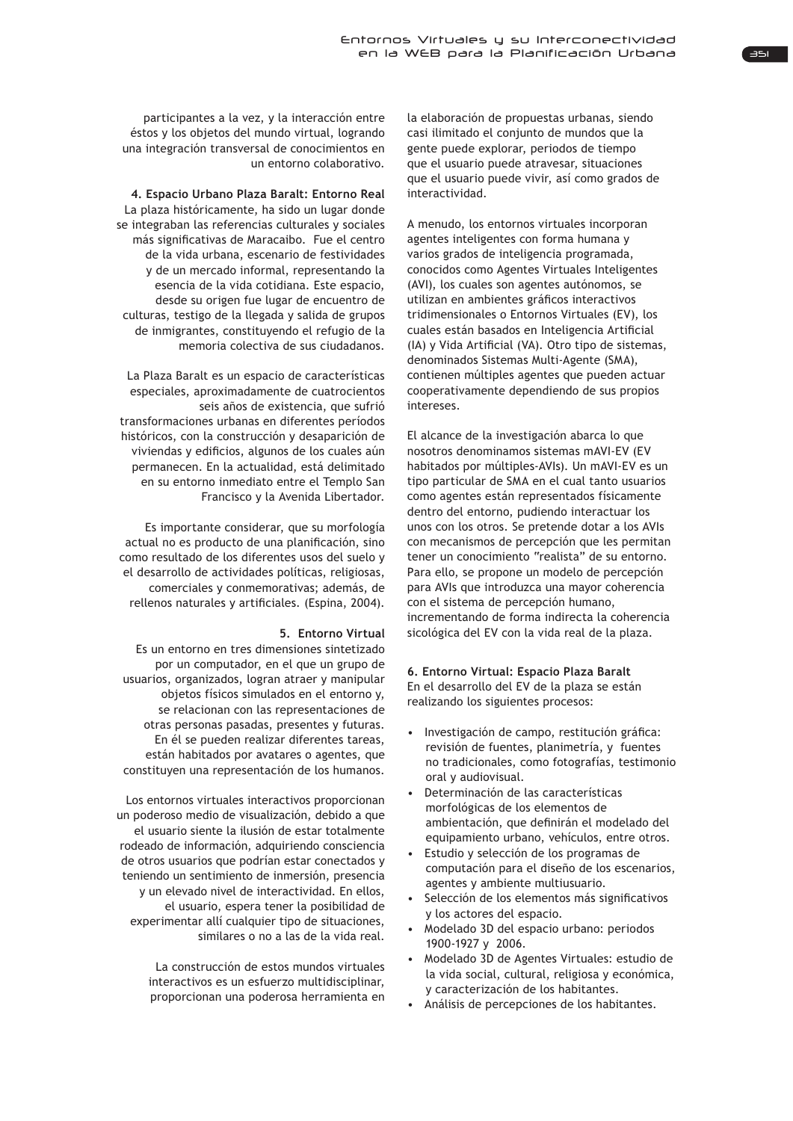participantes a la vez, y la interacción entre éstos y los objetos del mundo virtual, logrando una integración transversal de conocimientos en un entorno colaborativo.

**4. Espacio Urbano Plaza Baralt: Entorno Real** La plaza históricamente, ha sido un lugar donde se integraban las referencias culturales y sociales más significativas de Maracaibo. Fue el centro de la vida urbana, escenario de festividades y de un mercado informal, representando la esencia de la vida cotidiana. Este espacio, desde su origen fue lugar de encuentro de culturas, testigo de la llegada y salida de grupos de inmigrantes, constituyendo el refugio de la memoria colectiva de sus ciudadanos.

La Plaza Baralt es un espacio de características especiales, aproximadamente de cuatrocientos seis años de existencia, que sufrió transformaciones urbanas en diferentes períodos históricos, con la construcción y desaparición de viviendas y edificios, algunos de los cuales aún permanecen. En la actualidad, está delimitado en su entorno inmediato entre el Templo San Francisco y la Avenida Libertador.

Es importante considerar, que su morfología actual no es producto de una planificación, sino como resultado de los diferentes usos del suelo y el desarrollo de actividades políticas, religiosas, comerciales y conmemorativas; además, de rellenos naturales y artificiales. (Espina, 2004).

## **5. Entorno Virtual**

Es un entorno en tres dimensiones sintetizado por un computador, en el que un grupo de usuarios, organizados, logran atraer y manipular objetos físicos simulados en el entorno y, se relacionan con las representaciones de otras personas pasadas, presentes y futuras. En él se pueden realizar diferentes tareas. están habitados por avatares o agentes, que constituyen una representación de los humanos.

Los entornos virtuales interactivos proporcionan un poderoso medio de visualización, debido a que el usuario siente la ilusión de estar totalmente rodeado de información, adquiriendo consciencia de otros usuarios que podrían estar conectados y teniendo un sentimiento de inmersión, presencia y un elevado nivel de interactividad. En ellos, el usuario, espera tener la posibilidad de experimentar allí cualquier tipo de situaciones, similares o no a las de la vida real.

> La construcción de estos mundos virtuales interactivos es un esfuerzo multidisciplinar, proporcionan una poderosa herramienta en

la elaboración de propuestas urbanas, siendo casi ilimitado el conjunto de mundos que la gente puede explorar, periodos de tiempo que el usuario puede atravesar, situaciones que el usuario puede vivir, así como grados de interactividad.

A menudo, los entornos virtuales incorporan agentes inteligentes con forma humana y varios grados de inteligencia programada, conocidos como Agentes Virtuales Inteligentes (AVI), los cuales son agentes autónomos, se utilizan en ambientes gráficos interactivos tridimensionales o Entornos Virtuales (EV), los cuales están basados en Inteligencia Artificial (IA) y Vida Artificial (VA). Otro tipo de sistemas, denominados Sistemas Multi-Agente (SMA), contienen múltiples agentes que pueden actuar cooperativamente dependiendo de sus propios intereses.

El alcance de la investigación abarca lo que nosotros denominamos sistemas mAVI-EV (EV habitados por múltiples-AVIs). Un mAVI-EV es un tipo particular de SMA en el cual tanto usuarios como agentes están representados físicamente dentro del entorno, pudiendo interactuar los unos con los otros. Se pretende dotar a los AVIs con mecanismos de percepción que les permitan tener un conocimiento "realista" de su entorno. Para ello, se propone un modelo de percepción para AVIs que introduzca una mayor coherencia con el sistema de percepción humano, incrementando de forma indirecta la coherencia sicológica del EV con la vida real de la plaza.

## **6. Entorno Virtual: Espacio Plaza Baralt** En el desarrollo del EV de la plaza se están realizando los siguientes procesos:

- « Investigación de campo, restitución gráfica: revisión de fuentes, planimetría, y fuentes no tradicionales, como fotografías, testimonio oral y audiovisual.
- Determinación de las características morfológicas de los elementos de ambientación, que definirán el modelado del equipamiento urbano, vehículos, entre otros.
- Estudio y selección de los programas de computación para el diseño de los escenarios, agentes y ambiente multiusuario.
- Selección de los elementos más significativos y los actores del espacio.
- Modelado 3D del espacio urbano: periodos 1900-1927 y 2006.
- Modelado 3D de Agentes Virtuales: estudio de la vida social, cultural, religiosa y económica, y caracterización de los habitantes.
- . Análisis de percepciones de los habitantes.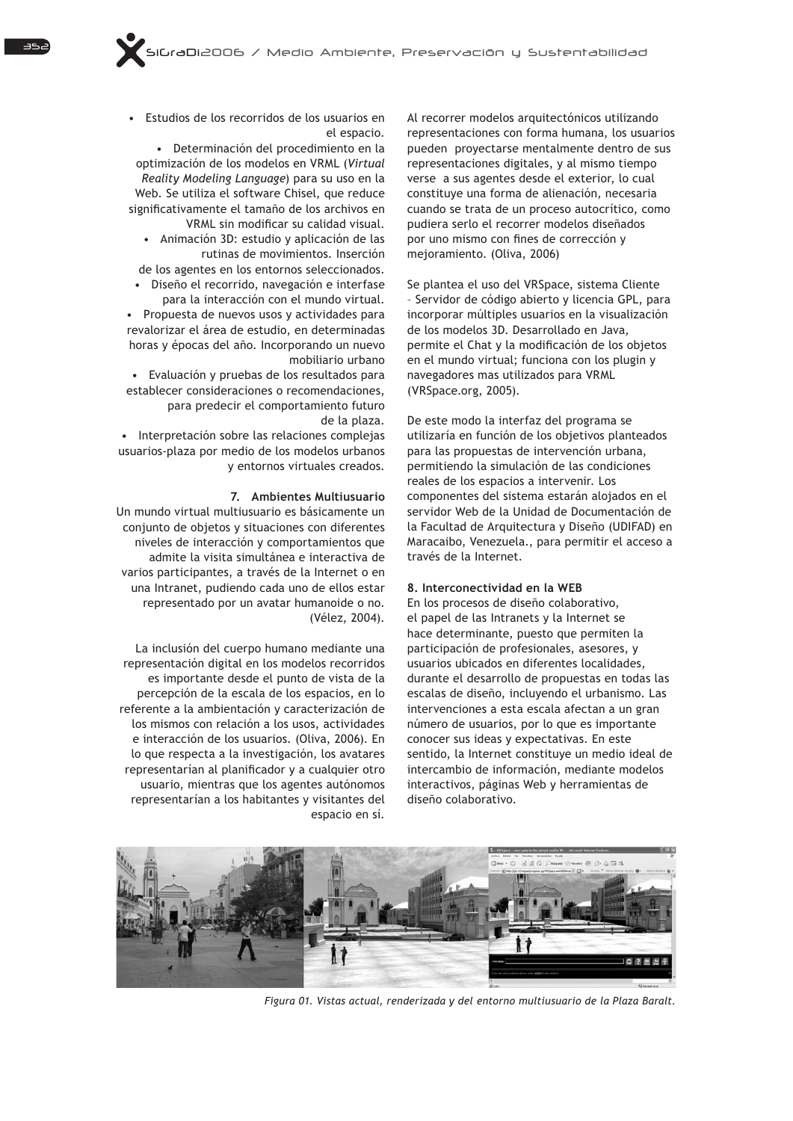Estudios de los recorridos de los usuarios en el espacio.

• Determinación del procedimiento en la optimización de los modelos en VRML (Virtual *Reality Modeling Language*) para su uso en la Web. Se utiliza el software Chisel, que reduce significativamente el tamaño de los archivos en VRML sin modificar su calidad visual.

Animación 3D: estudio y aplicación de las rutinas de movimientos. Inserción

de los agentes en los entornos seleccionados. Diseño el recorrido, navegación e interfase para la interacción con el mundo virtual.

• Propuesta de nuevos usos y actividades para revalorizar el área de estudio, en determinadas horas y épocas del año. Incorporando un nuevo mobiliario urbano

• Evaluación y pruebas de los resultados para establecer consideraciones o recomendaciones, para predecir el comportamiento futuro de la plaza.

• Interpretación sobre las relaciones complejas usuarios-plaza por medio de los modelos urbanos y entornos virtuales creados.

## **7. Ambientes Multiusuario**

Un mundo virtual multiusuario es básicamente un conjunto de objetos y situaciones con diferentes niveles de interacción y comportamientos que admite la visita simultánea e interactiva de varios participantes, a través de la Internet o en una Intranet, pudiendo cada uno de ellos estar representado por un avatar humanoide o no. (Vélez, 2004).

La inclusión del cuerpo humano mediante una representación digital en los modelos recorridos es importante desde el punto de vista de la percepción de la escala de los espacios, en lo referente a la ambientación y caracterización de los mismos con relación a los usos, actividades e interacción de los usuarios. (Oliva, 2006). En lo que respecta a la investigación, los avatares representarían al planificador y a cualquier otro usuario, mientras que los agentes autónomos representarían a los habitantes y visitantes del espacio en sí.

Al recorrer modelos arquitectónicos utilizando representaciones con forma humana, los usuarios pueden proyectarse mentalmente dentro de sus representaciones digitales, y al mismo tiempo verse a sus agentes desde el exterior, lo cual constituye una forma de alienación, necesaria cuando se trata de un proceso autocrítico, como pudiera serlo el recorrer modelos diseñados por uno mismo con fines de corrección y mejoramiento. (Oliva, 2006)

Se plantea el uso del VRSpace, sistema Cliente - Servidor de código abierto y licencia GPL, para incorporar múltiples usuarios en la visualización de los modelos 3D. Desarrollado en Java. permite el Chat y la modificación de los objetos en el mundo virtual; funciona con los plugin y navegadores mas utilizados para VRML (VRSpace.org, 2005).

De este modo la interfaz del programa se utilizaría en función de los objetivos planteados para las propuestas de intervención urbana, permitiendo la simulación de las condiciones reales de los espacios a intervenir. Los componentes del sistema estarán alojados en el servidor Web de la Unidad de Documentación de la Facultad de Arquitectura y Diseño (UDIFAD) en Maracaibo, Venezuela., para permitir el acceso a través de la Internet.

#### 8. Interconectividad en la WEB

En los procesos de diseño colaborativo, el papel de las Intranets y la Internet se hace determinante, puesto que permiten la participación de profesionales, asesores, y usuarios ubicados en diferentes localidades, durante el desarrollo de propuestas en todas las escalas de diseño, incluvendo el urbanismo. Las intervenciones a esta escala afectan a un gran número de usuarios, por lo que es importante conocer sus ideas y expectativas. En este sentido, la Internet constituye un medio ideal de intercambio de información, mediante modelos interactivos, páginas Web y herramientas de diseño colaborativo.



*Figura 01. Vistas actual, renderizada y del entorno multiusuario de la Plaza Baralt.*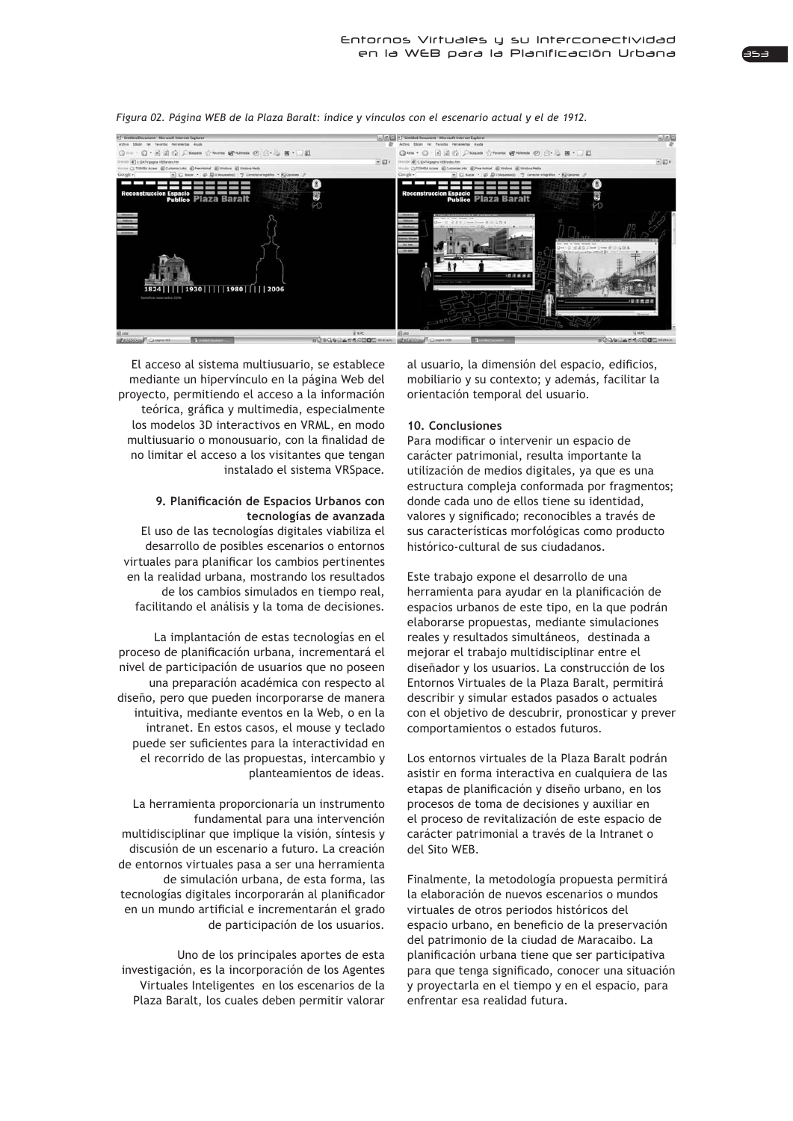

*Figura 02. Página WEB de la Plaza Baralt: índice y vínculos con el escenario actual y el de 1912.*

El acceso al sistema multiusuario, se establece mediante un hipervínculo en la página Web del proyecto, permitiendo el acceso a la información teórica, gráfica y multimedia, especialmente los modelos 3D interactivos en VRML, en modo multiusuario o monousuario, con la finalidad de no limitar el acceso a los visitantes que tengan instalado el sistema VRSpace.

## 9. Planificación de Espacios Urbanos con **tecnologías de avanzada**

El uso de las tecnologías digitales viabiliza el desarrollo de posibles escenarios o entornos virtuales para planificar los cambios pertinentes en la realidad urbana, mostrando los resultados de los cambios simulados en tiempo real, facilitando el análisis y la toma de decisiones.

La implantación de estas tecnologías en el proceso de planificación urbana, incrementará el nivel de participación de usuarios que no poseen una preparación académica con respecto al diseño, pero que pueden incorporarse de manera intuitiva, mediante eventos en la Web, o en la intranet. En estos casos, el mouse y teclado puede ser suficientes para la interactividad en el recorrido de las propuestas, intercambio y planteamientos de ideas.

La herramienta proporcionaría un instrumento fundamental para una intervención multidisciplinar que implique la visión, síntesis y discusión de un escenario a futuro. La creación de entornos virtuales pasa a ser una herramienta de simulación urbana, de esta forma, las tecnologías digitales incorporarán al planificador en un mundo artificial e incrementarán el grado de participación de los usuarios.

Uno de los principales aportes de esta investigación, es la incorporación de los Agentes Virtuales Inteligentes en los escenarios de la Plaza Baralt, los cuales deben permitir valorar

al usuario, la dimensión del espacio, edificios, mobiliario y su contexto; y además, facilitar la orientación temporal del usuario.

## **10. Conclusiones**

Para modificar o intervenir un espacio de carácter patrimonial, resulta importante la utilización de medios digitales, ya que es una estructura compleja conformada por fragmentos; donde cada uno de ellos tiene su identidad, valores y significado; reconocibles a través de sus características morfológicas como producto histórico-cultural de sus ciudadanos.

Este trabajo expone el desarrollo de una herramienta para ayudar en la planificación de espacios urbanos de este tipo, en la que podrán elaborarse propuestas, mediante simulaciones reales y resultados simultáneos, destinada a mejorar el trabajo multidisciplinar entre el diseñador y los usuarios. La construcción de los Entornos Virtuales de la Plaza Baralt, permitirá describir y simular estados pasados o actuales con el objetivo de descubrir, pronosticar y prever comportamientos o estados futuros.

Los entornos virtuales de la Plaza Baralt podrán asistir en forma interactiva en cualquiera de las etapas de planificación y diseño urbano, en los procesos de toma de decisiones y auxiliar en el proceso de revitalización de este espacio de carácter patrimonial a través de la Intranet o del Sito WEB.

Finalmente, la metodología propuesta permitirá la elaboración de nuevos escenarios o mundos virtuales de otros periodos históricos del espacio urbano, en beneficio de la preservación del patrimonio de la ciudad de Maracaibo. La planificación urbana tiene que ser participativa para que tenga significado, conocer una situación y proyectarla en el tiempo y en el espacio, para enfrentar esa realidad futura.